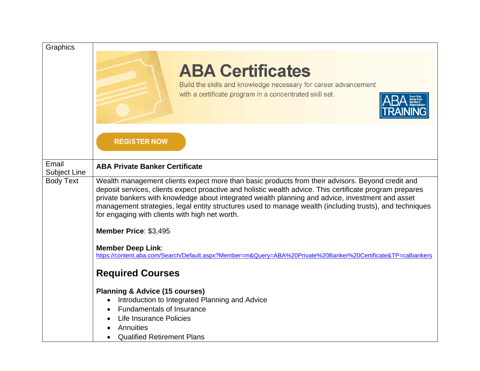| Graphics              |                                                                                                                                                                                                                                                                                                                                                                                                                                                                               |
|-----------------------|-------------------------------------------------------------------------------------------------------------------------------------------------------------------------------------------------------------------------------------------------------------------------------------------------------------------------------------------------------------------------------------------------------------------------------------------------------------------------------|
|                       | <b>ABA Certificates</b><br>Build the skills and knowledge necessary for career advancement<br>with a certificate program in a concentrated skill set.                                                                                                                                                                                                                                                                                                                         |
|                       | <b>REGISTER NOW</b>                                                                                                                                                                                                                                                                                                                                                                                                                                                           |
| Email<br>Subject Line | <b>ABA Private Banker Certificate</b>                                                                                                                                                                                                                                                                                                                                                                                                                                         |
| <b>Body Text</b>      | Wealth management clients expect more than basic products from their advisors. Beyond credit and<br>deposit services, clients expect proactive and holistic wealth advice. This certificate program prepares<br>private bankers with knowledge about integrated wealth planning and advice, investment and asset<br>management strategies, legal entity structures used to manage wealth (including trusts), and techniques<br>for engaging with clients with high net worth. |
|                       | Member Price: \$3,495                                                                                                                                                                                                                                                                                                                                                                                                                                                         |
|                       | <b>Member Deep Link:</b><br>https://content.aba.com/Search/Default.aspx?Member=m&Query=ABA%20Private%20Banker%20Certificate&TP=calbankers                                                                                                                                                                                                                                                                                                                                     |
|                       | <b>Required Courses</b>                                                                                                                                                                                                                                                                                                                                                                                                                                                       |
|                       | <b>Planning &amp; Advice (15 courses)</b>                                                                                                                                                                                                                                                                                                                                                                                                                                     |
|                       | Introduction to Integrated Planning and Advice<br><b>Fundamentals of Insurance</b>                                                                                                                                                                                                                                                                                                                                                                                            |
|                       | Life Insurance Policies                                                                                                                                                                                                                                                                                                                                                                                                                                                       |
|                       | Annuities                                                                                                                                                                                                                                                                                                                                                                                                                                                                     |
|                       | <b>Qualified Retirement Plans</b>                                                                                                                                                                                                                                                                                                                                                                                                                                             |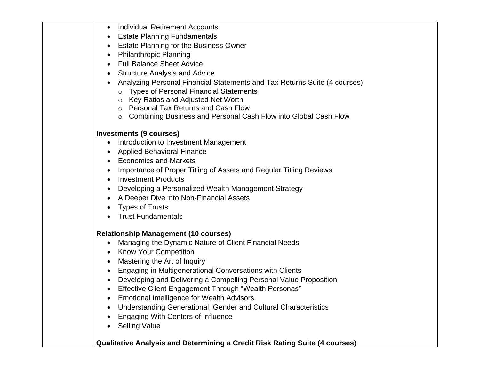| <b>Individual Retirement Accounts</b><br>$\bullet$                                 |
|------------------------------------------------------------------------------------|
| <b>Estate Planning Fundamentals</b>                                                |
| Estate Planning for the Business Owner<br>$\bullet$                                |
| <b>Philanthropic Planning</b><br>$\bullet$                                         |
| <b>Full Balance Sheet Advice</b><br>$\bullet$                                      |
| <b>Structure Analysis and Advice</b><br>$\bullet$                                  |
| Analyzing Personal Financial Statements and Tax Returns Suite (4 courses)          |
| o Types of Personal Financial Statements                                           |
| ○ Key Ratios and Adjusted Net Worth                                                |
| o Personal Tax Returns and Cash Flow                                               |
| o Combining Business and Personal Cash Flow into Global Cash Flow                  |
| <b>Investments (9 courses)</b>                                                     |
| Introduction to Investment Management<br>$\bullet$                                 |
| <b>Applied Behavioral Finance</b>                                                  |
| • Economics and Markets                                                            |
| Importance of Proper Titling of Assets and Regular Titling Reviews                 |
| <b>Investment Products</b><br>$\bullet$                                            |
| Developing a Personalized Wealth Management Strategy                               |
| A Deeper Dive into Non-Financial Assets                                            |
| <b>Types of Trusts</b>                                                             |
| <b>Trust Fundamentals</b>                                                          |
| <b>Relationship Management (10 courses)</b>                                        |
| Managing the Dynamic Nature of Client Financial Needs<br>$\bullet$                 |
| • Know Your Competition                                                            |
| Mastering the Art of Inquiry<br>$\bullet$                                          |
| Engaging in Multigenerational Conversations with Clients<br>$\bullet$              |
| Developing and Delivering a Compelling Personal Value Proposition                  |
| <b>Effective Client Engagement Through "Wealth Personas"</b><br>$\bullet$          |
| <b>Emotional Intelligence for Wealth Advisors</b>                                  |
| <b>Understanding Generational, Gender and Cultural Characteristics</b>             |
| Engaging With Centers of Influence                                                 |
| <b>Selling Value</b>                                                               |
|                                                                                    |
| <b>Qualitative Analysis and Determining a Credit Risk Rating Suite (4 courses)</b> |